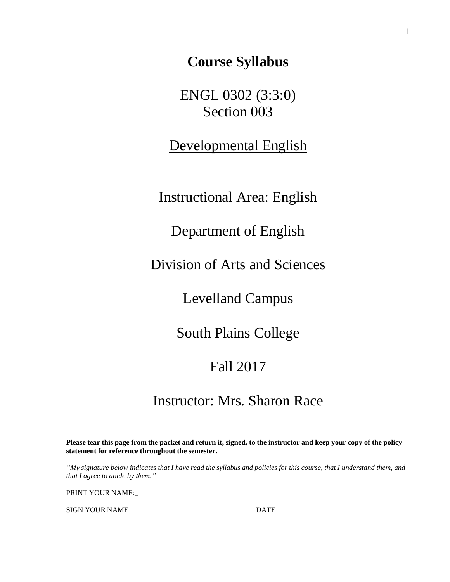**Course Syllabus**

ENGL 0302 (3:3:0) Section 003

Developmental English

Instructional Area: English

Department of English

Division of Arts and Sciences

Levelland Campus

South Plains College

# Fall 2017

# Instructor: Mrs. Sharon Race

Please tear this page from the packet and return it, signed, to the instructor and keep your copy of the policy **statement for reference throughout the semester.**

"My signature below indicates that I have read the syllabus and policies for this course, that I understand them, and *that I agree to abide by them."*

PRINT YOUR NAME:\_

SIGN YOUR NAME DATE DATE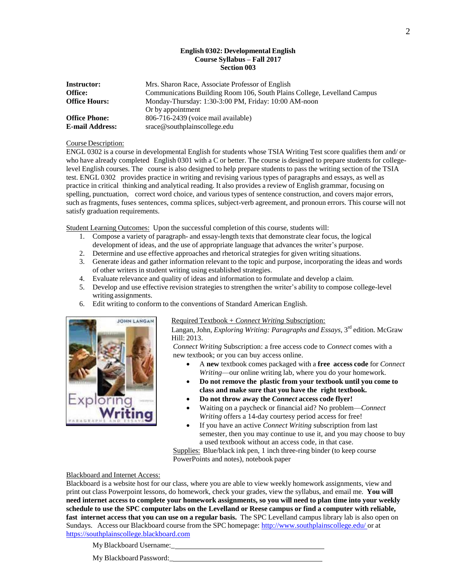# **English 0302: Developmental English Course Syllabus – Fall 2017 Section 003**

| <b>Instructor:</b>     | Mrs. Sharon Race, Associate Professor of English                         |  |  |
|------------------------|--------------------------------------------------------------------------|--|--|
| <b>Office:</b>         | Communications Building Room 106, South Plains College, Levelland Campus |  |  |
| <b>Office Hours:</b>   | Monday-Thursday: 1:30-3:00 PM, Friday: 10:00 AM-noon                     |  |  |
|                        | Or by appointment                                                        |  |  |
| <b>Office Phone:</b>   | 806-716-2439 (voice mail available)                                      |  |  |
| <b>E-mail Address:</b> | srace@southplainscollege.edu                                             |  |  |

## Course Description:

ENGL 0302 is a course in developmental English for students whose TSIA Writing Test score qualifies them and/ or who have already completed English 0301 with a C or better. The course is designed to prepare students for collegelevel English courses. The course is also designed to help prepare students to pass the writing section of the TSIA test. ENGL 0302 provides practice in writing and revising various types of paragraphs and essays, as well as practice in critical thinking and analytical reading. It also provides a review of English grammar, focusing on spelling, punctuation, correct word choice, and various types of sentence construction, and covers major errors, such as fragments, fuses sentences, comma splices, subject-verb agreement, and pronoun errors. This course will not satisfy graduation requirements.

Student Learning Outcomes: Upon the successful completion of this course, students will:

- 1. Compose a variety of paragraph- and essay-length texts that demonstrate clear focus, the logical development of ideas, and the use of appropriate language that advances the writer's purpose.
- 2. Determine and use effective approaches and rhetorical strategies for given writing situations.
- 3. Generate ideas and gather information relevant to the topic and purpose, incorporating the ideas and words of other writers in student writing using established strategies.
- 4. Evaluate relevance and quality of ideas and information to formulate and develop a claim.
- 5. Develop and use effective revision strategies to strengthen the writer's ability to compose college-level writing assignments.
- 6. Edit writing to conform to the conventions of Standard American English.



# Required Textbook + *Connect Writing* Subscription:

Langan, John, *Exploring Writing: Paragraphs and Essays*, 3 rd edition. McGraw Hill: 2013.

*Connect Writing* Subscription: a free access code to *Connect* comes with a new textbook; or you can buy access online.

- A **new** textbook comes packaged with a **free access code** for *Connect Writing*—our online writing lab, where you do your homework.
- **Do not remove the plastic from your textbook until you come to class and make sure that you have the right textbook.**
- **Do not throw away the** *Connect* **access code flyer!**
- Waiting on a paycheck or financial aid? No problem—*Connect Writing* offers a 14-day courtesy period access for free!
- If you have an active *Connect Writing* subscription from last semester, then you may continue to use it, and you may choose to buy a used textbook without an access code, in that case.

Supplies: Blue/black ink pen, 1 inch three-ring binder (to keep course PowerPoints and notes), notebook paper

## Blackboard and Internet Access:

Blackboard is a website host for our class, where you are able to view weekly homework assignments, view and print out class Powerpoint lessons, do homework, check your grades, view the syllabus, and email me. **You will** need internet access to complete your homework assignments, so you will need to plan time into your weekly schedule to use the SPC computer labs on the Levelland or Reese campus or find a computer with reliable, **fast internet access that you can use on a regular basis.** The SPC Levelland campus library lab is also open on Sundays. Access our Blackboard course from the SPC homepage[: http://www.southplainscollege.edu/](http://www.southplainscollege.edu/) or a[t](https://southplainscollege.blackboard.com/) [https://southplainscollege.blackboard.com](https://southplainscollege.blackboard.com/)

MyBlackboard Username:\_

My Blackboard Password:\_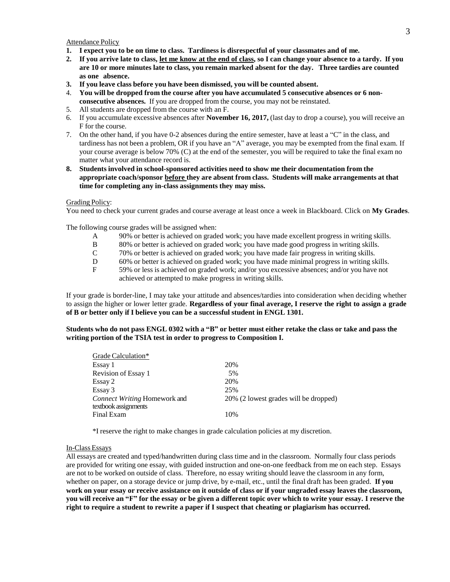Attendance Policy

- 1. I expect you to be on time to class. Tardiness is disrespectful of your classmates and of me.
- 2. If you arrive late to class, let me know at the end of class, so I can change your absence to a tardy. If you **are 10 or more minutes late to class, you remain marked absent for the day. Three tardies are counted as one absence.**
- **3. If you leave class before you have been dismissed, you will be counted absent.**
- 4. **You will be dropped from the course after you have accumulated 5 consecutive absences or 6 nonconsecutive absences.** If you are dropped from the course, you may not be reinstated.
- 5. All students are dropped from the course with an F.
- 6. If you accumulate excessive absences after **November 16, 2017,** (last day to drop a course), you will receive an F for the course.
- 7. On the other hand, if you have 0-2 absences during the entire semester, have at least a "C" in the class, and tardiness has not been a problem, OR if you have an "A" average, you may be exempted from the final exam. If your course average is below 70% (C) at the end of the semester, you will be required to take the final exam no matter what your attendance record is.
- **8. Students involved in school-sponsored activities need to show me their documentation from the appropriate coach/sponsor before they are absent from class. Students will make arrangements at that time for completing any in-class assignments they may miss.**

## Grading Policy:

You need to check your current grades and course average at least once a week in Blackboard. Click on **My Grades**.

The following course grades will be assigned when:

- A 90% or better is achieved on graded work; you have made excellent progress in writing skills.
- B 80% or better is achieved on graded work; you have made good progress in writing skills.
- C 70% or better is achieved on graded work; you have made fair progress in writing skills.
- D 60% or better is achieved on graded work; you have made minimal progress in writing skills.
- F 59% or less is achieved on graded work; and/or you excessive absences; and/or you have not achieved or attempted to make progress in writing skills.

If your grade is border-line, I may take your attitude and absences/tardies into consideration when deciding whether to assign the higher or lower letter grade. **Regardless of your final average, I reserve the right to assign a grade of B or better only if I believe you can be a successful student in ENGL 1301.**

Students who do not pass ENGL 0302 with a "B" or better must either retake the class or take and pass the **writing portion of the TSIA test in order to progress to Composition I.**

| Grade Calculation*           |                                       |
|------------------------------|---------------------------------------|
| Essay 1                      | 20%                                   |
| Revision of Essay 1          | 5%                                    |
| Essay 2                      | 20%                                   |
| Essay 3                      | 25%                                   |
| Connect Writing Homework and | 20% (2 lowest grades will be dropped) |
| textbook assignments         |                                       |
| Final Exam                   | 10%                                   |

\*I reserve the right to make changes in grade calculation policies at my discretion.

#### In-Class Essays

All essays are created and typed/handwritten during class time and in the classroom. Normally four class periods are provided for writing one essay, with guided instruction and one-on-one feedback from me on each step. Essays are not to be worked on outside of class. Therefore, no essay writing should leave the classroom in any form, whether on paper, on a storage device or jump drive, by e-mail, etc., until the final draft has been graded. **If you** work on your essay or receive assistance on it outside of class or if your ungraded essay leaves the classroom, you will receive an "F" for the essay or be given a different topic over which to write your essay. I reserve the **right to require a student to rewrite a paper if I suspect that cheating or plagiarism has occurred.**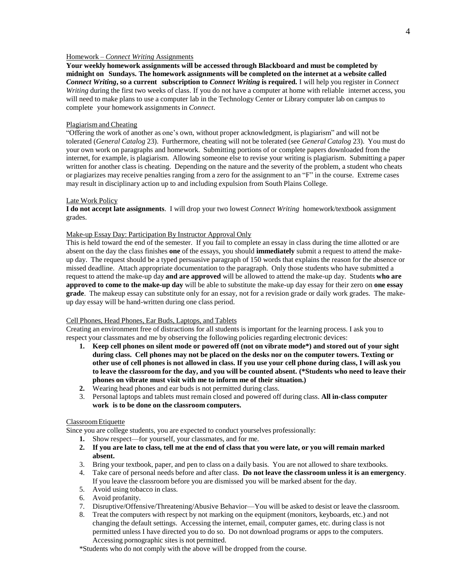# Homework – *Connect Writing* Assignments

**Your weekly homework assignments will be accessed through Blackboard and must be completed by midnight on Sundays. The homework assignments will be completed on the internet at a website called** *Connect Writing***, so a current subscription to** *Connect Writing* **is required.** I will help you register in *Connect Writing* during the first two weeks of class. If you do not have a computer at home with reliable internet access, you will need to make plans to use a computer lab in the Technology Center or Library computer lab on campus to complete your homework assignments in *Connect*.

#### Plagiarism and Cheating

"Offering the work of another as one's own, without proper acknowledgment, is plagiarism" and will not be tolerated (*General Catalog* 23). Furthermore, cheating will not be tolerated (see *General Catalog* 23). You must do your own work on paragraphs and homework. Submitting portions of or complete papers downloaded from the internet, for example, is plagiarism. Allowing someone else to revise your writing is plagiarism. Submitting a paper written for another class is cheating. Depending on the nature and the severity of the problem, a student who cheats or plagiarizes may receive penalties ranging from a zero for the assignment to an "F" in the course. Extreme cases may result in disciplinary action up to and including expulsion from South Plains College.

#### Late Work Policy

**I do not accept late assignments**. I will drop your two lowest *Connect Writing* homework/textbook assignment grades.

## Make-up Essay Day: Participation By Instructor Approval Only

This is held toward the end of the semester. If you fail to complete an essay in class during the time allotted or are absent on the day the class finishes **one** of the essays, you should **immediately** submit a request to attend the makeup day. The request should be a typed persuasive paragraph of 150 words that explains the reason for the absence or missed deadline. Attach appropriate documentation to the paragraph. Only those students who have submitted a request to attend the make-up day **and are approved** will be allowed to attend the make-up day. Students **who are approved to come to the make-up day** will be able to substitute the make-up day essay for their zero on **one essay grade**. The makeup essay can substitute only for an essay, not for a revision grade or daily work grades. The makeup day essay will be hand-written during one class period.

#### Cell Phones, Head Phones, Ear Buds, Laptops, and Tablets

Creating an environment free of distractions for all students is important for the learning process. I ask you to respect your classmates and me by observing the following policies regarding electronic devices:

- 1. Keep cell phones on silent mode or powered off (not on vibrate mode\*) and stored out of your sight **during class. Cell phones may not be placed on the desks nor on the computer towers. Texting or** other use of cell phones is not allowed in class. If you use your cell phone during class, I will ask you to leave the classroom for the day, and you will be counted absent. (\*Students who need to leave their **phones on vibrate must visit with me to inform me of their situation.)**
- **2.** Wearing head phones and ear buds is not permitted during class.
- 3. Personal laptops and tablets must remain closed and powered off during class. **All in-class computer work is to be done on the classroom computers.**

# ClassroomEtiquette

Since you are college students, you are expected to conduct yourselves professionally:

- **1.** Show respect—for yourself, your classmates, and for me.
- 2. If you are late to class, tell me at the end of class that you were late, or you will remain marked **absent.**
- 3. Bring your textbook, paper, and pen to class on a daily basis. You are not allowed to share textbooks.
- 4. Take care of personal needs before and after class. **Do not leave the classroom unless it is an emergency**. If you leave the classroom before you are dismissed you will be marked absent for the day.
- 5. Avoid using tobacco in class.
- 6. Avoid profanity.
- 7. Disruptive/Offensive/Threatening/Abusive Behavior—You will be asked to desist or leave the classroom.
- 8. Treat the computers with respect by not marking on the equipment (monitors, keyboards, etc.) and not changing the default settings. Accessing the internet, email, computer games, etc. during class is not permitted unless I have directed you to do so. Do not download programs or apps to the computers. Accessing pornographic sites is not permitted.

\*Students who do not comply with the above will be dropped from the course.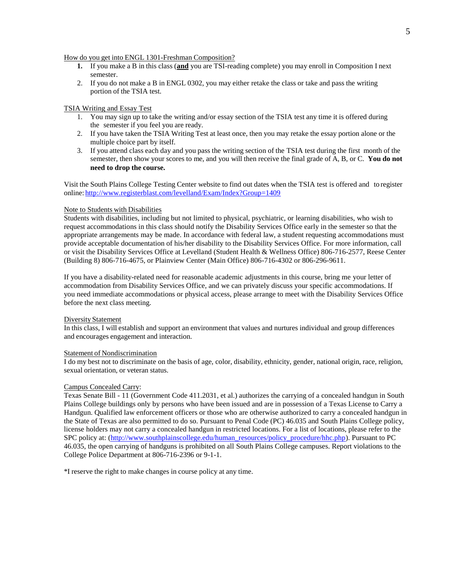#### How do you get into ENGL 1301-Freshman Composition?

- **1.** If you make a B in this class (**and** you are TSI-reading complete) you may enroll in Composition I next semester.
- 2. If you do not make a B in ENGL 0302, you may either retake the class or take and pass the writing portion of the TSIA test.

### TSIA Writing and Essay Test

- 1. You may sign up to take the writing and/or essay section of the TSIA test any time it is offered during the semester if you feel you are ready.
- 2. If you have taken the TSIA Writing Test at least once, then you may retake the essay portion alone or the multiple choice part by itself.
- 3. If you attend class each day and you pass the writing section of the TSIA test during the first month of the semester, then show your scores to me, and you will then receive the final grade of A, B, or C. **You do not need to drop the course.**

Visit the South Plains College Testing Center website to find out dates when the TSIA test is offered and to register online: <http://www.registerblast.com/levelland/Exam/Index?Group=1409>

## Note to Students with Disabilities

Students with disabilities, including but not limited to physical, psychiatric, or learning disabilities, who wish to request accommodations in this class should notify the Disability Services Office early in the semester so that the appropriate arrangements may be made. In accordance with federal law, a student requesting accommodations must provide acceptable documentation of his/her disability to the Disability Services Office. For more information, call or visit the Disability Services Office at Levelland (Student Health & Wellness Office) 806-716-2577, Reese Center (Building 8) 806-716-4675, or Plainview Center (Main Office) 806-716-4302 or 806-296-9611.

If you have a disability-related need for reasonable academic adjustments in this course, bring me your letter of accommodation from Disability Services Office, and we can privately discuss your specific accommodations. If you need immediate accommodations or physical access, please arrange to meet with the Disability Services Office before the next class meeting.

#### Diversity Statement

In this class, I will establish and support an environment that values and nurtures individual and group differences and encourages engagement and interaction.

## Statement of Nondiscrimination

I do my best not to discriminate on the basis of age, color, disability, ethnicity, gender, national origin, race, religion, sexual orientation, or veteran status.

#### Campus Concealed Carry:

Texas Senate Bill - 11 (Government Code 411.2031, et al.) authorizes the carrying of a concealed handgun in South Plains College buildings only by persons who have been issued and are in possession of a Texas License to Carry a Handgun. Qualified law enforcement officers or those who are otherwise authorized to carry a concealed handgun in the State of Texas are also permitted to do so. Pursuant to Penal Code (PC) 46.035 and South Plains College policy, license holders may not carry a concealed handgun in restricted locations. For a list of locations, please refer to the SPC policy at: [\(http://www.southplainscollege.edu/human\\_resources/policy\\_procedure/hhc.php\)](http://www.southplainscollege.edu/human_resources/policy_procedure/hhc.php). Pursuant to PC 46.035, the open carrying of handguns is prohibited on all South Plains College campuses. Report violations to the College Police Department at 806-716-2396 or 9-1-1.

\*I reserve the right to make changes in course policy at any time.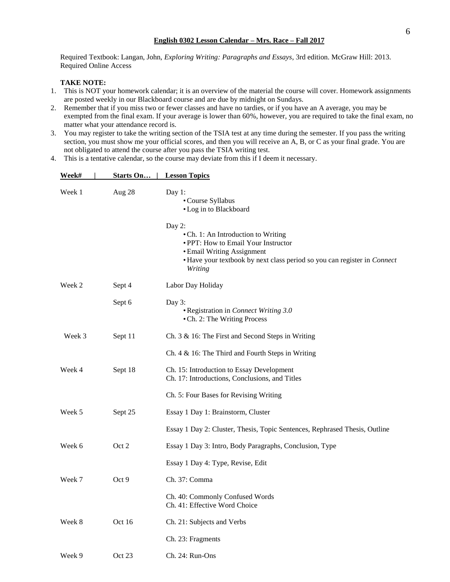Required Textbook: Langan, John, *Exploring Writing: Paragraphs and Essays*, 3rd edition. McGraw Hill: 2013. Required Online Access

# **TAKE NOTE:**

- 1. This is NOT your homework calendar; it is an overview of the material the course will cover. Homework assignments are posted weekly in our Blackboard course and are due by midnight on Sundays.
- 2. Remember that if you miss two or fewer classes and have no tardies, or if you have an A average, you may be exempted from the final exam. If your average is lower than 60%, however, you are required to take the final exam, no matter what your attendance record is.
- 3. You may register to take the writing section of the TSIA test at any time during the semester. If you pass the writing section, you must show me your official scores, and then you will receive an A, B, or C as your final grade. You are not obligated to attend the course after you pass the TSIA writing test.
- 4. This is a tentative calendar, so the course may deviate from this if I deem it necessary.

| Week#  | Starts On | <b>Lesson Topics</b>                                                                                                                                                                                      |
|--------|-----------|-----------------------------------------------------------------------------------------------------------------------------------------------------------------------------------------------------------|
| Week 1 | Aug 28    | Day 1:<br>• Course Syllabus<br>• Log in to Blackboard                                                                                                                                                     |
|        |           | Day 2:<br>• Ch. 1: An Introduction to Writing<br>• PPT: How to Email Your Instructor<br>• Email Writing Assignment<br>• Have your textbook by next class period so you can register in Connect<br>Writing |
| Week 2 | Sept 4    | Labor Day Holiday                                                                                                                                                                                         |
|        | Sept 6    | Day 3:<br>• Registration in Connect Writing 3.0<br>• Ch. 2: The Writing Process                                                                                                                           |
| Week 3 | Sept 11   | Ch. 3 & 16: The First and Second Steps in Writing                                                                                                                                                         |
|        |           | Ch. $4 \& 16$ : The Third and Fourth Steps in Writing                                                                                                                                                     |
| Week 4 | Sept 18   | Ch. 15: Introduction to Essay Development<br>Ch. 17: Introductions, Conclusions, and Titles                                                                                                               |
|        |           | Ch. 5: Four Bases for Revising Writing                                                                                                                                                                    |
| Week 5 | Sept 25   | Essay 1 Day 1: Brainstorm, Cluster                                                                                                                                                                        |
|        |           | Essay 1 Day 2: Cluster, Thesis, Topic Sentences, Rephrased Thesis, Outline                                                                                                                                |
| Week 6 | Oct 2     | Essay 1 Day 3: Intro, Body Paragraphs, Conclusion, Type                                                                                                                                                   |
|        |           | Essay 1 Day 4: Type, Revise, Edit                                                                                                                                                                         |
| Week 7 | Oct 9     | Ch. 37: Comma                                                                                                                                                                                             |
|        |           | Ch. 40: Commonly Confused Words<br>Ch. 41: Effective Word Choice                                                                                                                                          |
| Week 8 | Oct 16    | Ch. 21: Subjects and Verbs                                                                                                                                                                                |
|        |           | Ch. 23: Fragments                                                                                                                                                                                         |
| Week 9 | Oct 23    | Ch. 24: Run-Ons                                                                                                                                                                                           |